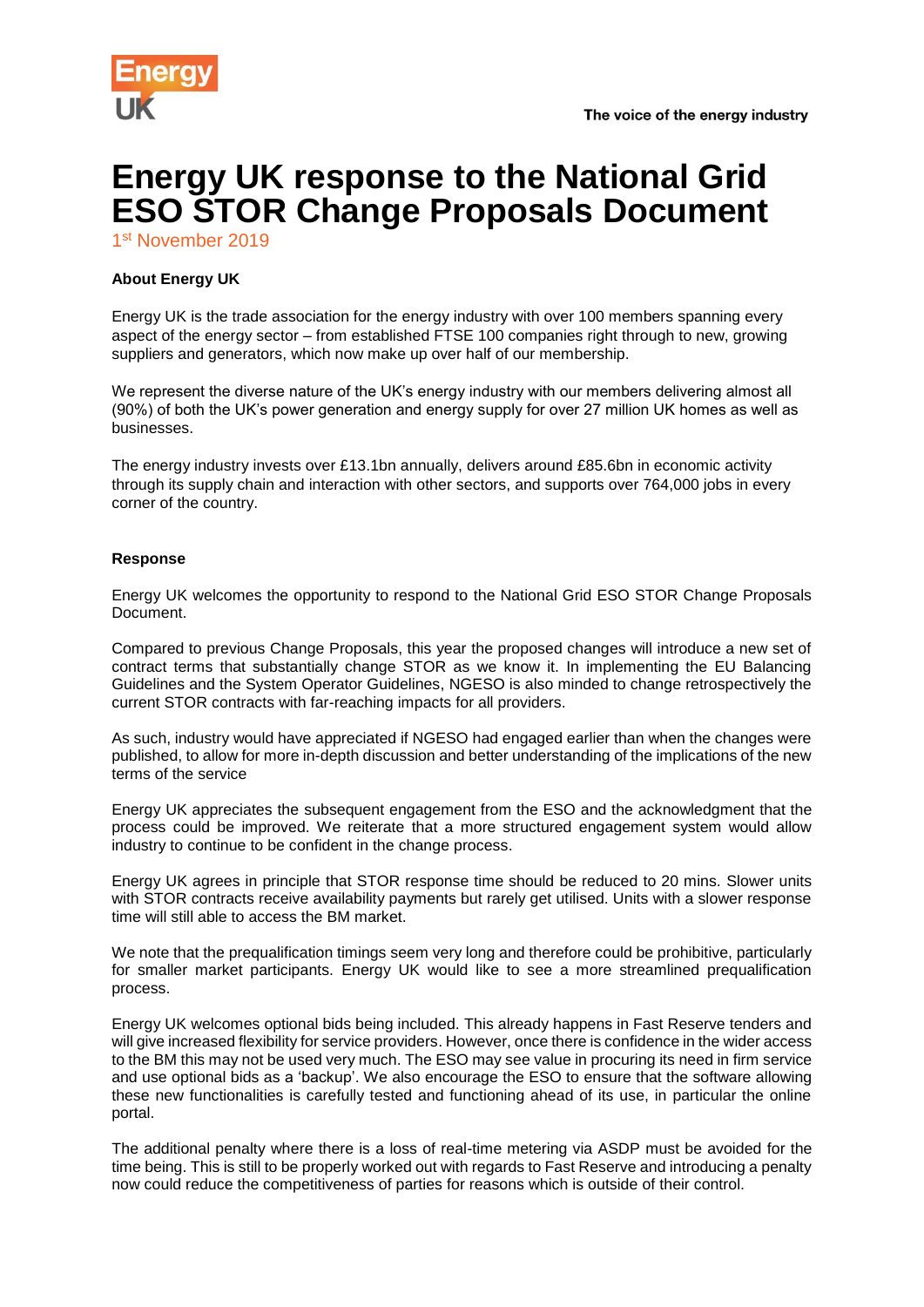



## **Energy UK response to the National Grid ESO STOR Change Proposals Document**

1st November 2019

## **About Energy UK**

Energy UK is the trade association for the energy industry with over 100 members spanning every aspect of the energy sector – from established FTSE 100 companies right through to new, growing suppliers and generators, which now make up over half of our membership.

We represent the diverse nature of the UK's energy industry with our members delivering almost all (90%) of both the UK's power generation and energy supply for over 27 million UK homes as well as businesses.

The energy industry invests over £13.1bn annually, delivers around £85.6bn in economic activity through its supply chain and interaction with other sectors, and supports over 764,000 jobs in every corner of the country.

## **Response**

Energy UK welcomes the opportunity to respond to the National Grid ESO STOR Change Proposals Document.

Compared to previous Change Proposals, this year the proposed changes will introduce a new set of contract terms that substantially change STOR as we know it. In implementing the EU Balancing Guidelines and the System Operator Guidelines, NGESO is also minded to change retrospectively the current STOR contracts with far-reaching impacts for all providers.

As such, industry would have appreciated if NGESO had engaged earlier than when the changes were published, to allow for more in-depth discussion and better understanding of the implications of the new terms of the service

Energy UK appreciates the subsequent engagement from the ESO and the acknowledgment that the process could be improved. We reiterate that a more structured engagement system would allow industry to continue to be confident in the change process.

Energy UK agrees in principle that STOR response time should be reduced to 20 mins. Slower units with STOR contracts receive availability payments but rarely get utilised. Units with a slower response time will still able to access the BM market.

We note that the prequalification timings seem very long and therefore could be prohibitive, particularly for smaller market participants. Energy UK would like to see a more streamlined prequalification process.

Energy UK welcomes optional bids being included. This already happens in Fast Reserve tenders and will give increased flexibility for service providers. However, once there is confidence in the wider access to the BM this may not be used very much. The ESO may see value in procuring its need in firm service and use optional bids as a 'backup'. We also encourage the ESO to ensure that the software allowing these new functionalities is carefully tested and functioning ahead of its use, in particular the online portal.

The additional penalty where there is a loss of real-time metering via ASDP must be avoided for the time being. This is still to be properly worked out with regards to Fast Reserve and introducing a penalty now could reduce the competitiveness of parties for reasons which is outside of their control.